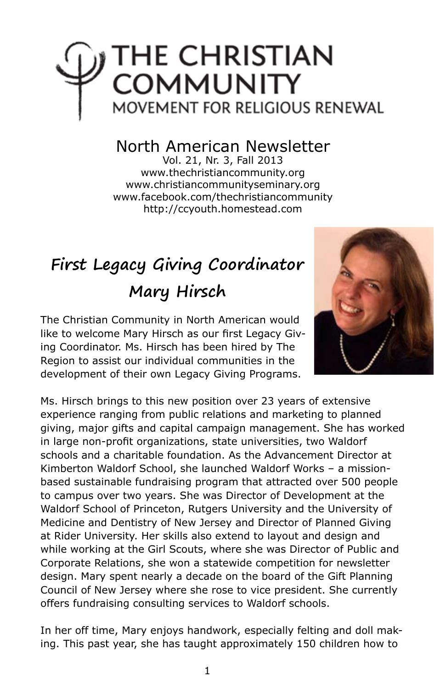# THE CHRISTIAN<br>COMMUNITY MOVEMENT FOR RELIGIOUS RENEWAL

### North American Newsletter

Vol. 21, Nr. 3, Fall 2013 www.thechristiancommunity.org www.christiancommunityseminary.org www.facebook.com/thechristiancommunity http://ccyouth.homestead.com

## **First Legacy Giving Coordinator Mary Hirsch**

The Christian Community in North American would like to welcome Mary Hirsch as our first Legacy Giving Coordinator. Ms. Hirsch has been hired by The Region to assist our individual communities in the development of their own Legacy Giving Programs.



Ms. Hirsch brings to this new position over 23 years of extensive experience ranging from public relations and marketing to planned giving, major gifts and capital campaign management. She has worked in large non-profit organizations, state universities, two Waldorf schools and a charitable foundation. As the Advancement Director at Kimberton Waldorf School, she launched Waldorf Works – a missionbased sustainable fundraising program that attracted over 500 people to campus over two years. She was Director of Development at the Waldorf School of Princeton, Rutgers University and the University of Medicine and Dentistry of New Jersey and Director of Planned Giving at Rider University. Her skills also extend to layout and design and while working at the Girl Scouts, where she was Director of Public and Corporate Relations, she won a statewide competition for newsletter design. Mary spent nearly a decade on the board of the Gift Planning Council of New Jersey where she rose to vice president. She currently offers fundraising consulting services to Waldorf schools.

In her off time, Mary enjoys handwork, especially felting and doll making. This past year, she has taught approximately 150 children how to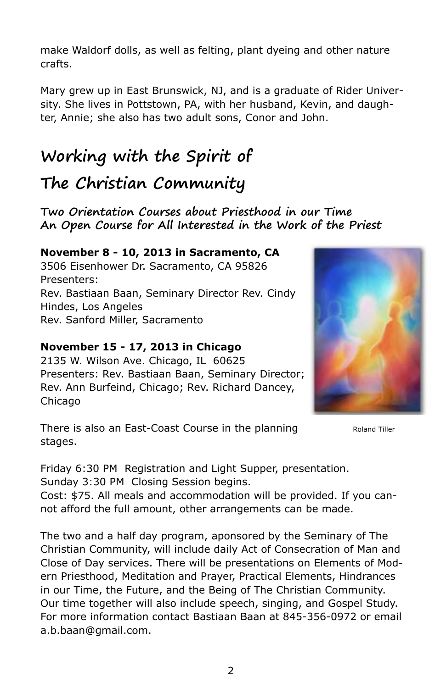make Waldorf dolls, as well as felting, plant dyeing and other nature crafts.

Mary grew up in East Brunswick, NJ, and is a graduate of Rider University. She lives in Pottstown, PA, with her husband, Kevin, and daughter, Annie; she also has two adult sons, Conor and John.

### **Working with the Spirit of**

### **The Christian Community**

**Two Orientation Courses about Priesthood in our Time An Open Course for All Interested in the Work of the Priest**

#### **November 8 - 10, 2013 in Sacramento, CA**

3506 Eisenhower Dr. Sacramento, CA 95826 Presenters: Rev. Bastiaan Baan, Seminary Director Rev. Cindy Hindes, Los Angeles Rev. Sanford Miller, Sacramento

#### **November 15 - 17, 2013 in Chicago**

2135 W. Wilson Ave. Chicago, IL 60625 Presenters: Rev. Bastiaan Baan, Seminary Director; Rev. Ann Burfeind, Chicago; Rev. Richard Dancey, Chicago

There is also an East-Coast Course in the planning stages.

Roland Tiller

Friday 6:30 PM Registration and Light Supper, presentation. Sunday 3:30 PM Closing Session begins.

Cost: \$75. All meals and accommodation will be provided. If you cannot afford the full amount, other arrangements can be made.

The two and a half day program, aponsored by the Seminary of The Christian Community, will include daily Act of Consecration of Man and Close of Day services. There will be presentations on Elements of Modern Priesthood, Meditation and Prayer, Practical Elements, Hindrances in our Time, the Future, and the Being of The Christian Community. Our time together will also include speech, singing, and Gospel Study. For more information contact Bastiaan Baan at 845-356-0972 or email a.b.baan@gmail.com.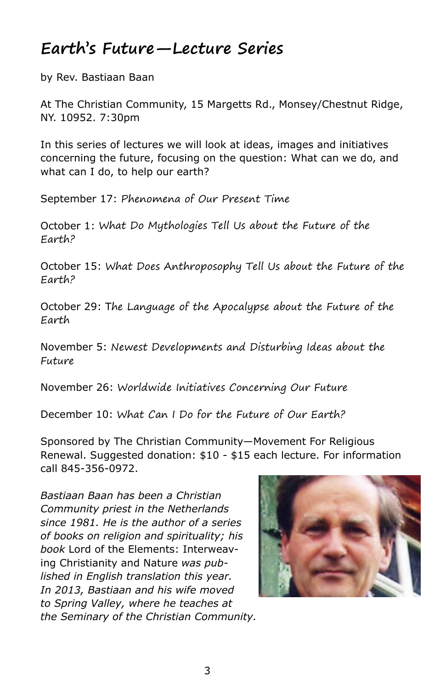### **Earth's Future—Lecture Series**

by Rev. Bastiaan Baan

At The Christian Community, 15 Margetts Rd., Monsey/Chestnut Ridge, NY. 10952. 7:30pm

In this series of lectures we will look at ideas, images and initiatives concerning the future, focusing on the question: What can we do, and what can I do, to help our earth?

September 17: Phenomena of Our Present Time

October 1: What Do Mythologies Tell Us about the Future of the Earth?

October 15: What Does Anthroposophy Tell Us about the Future of the Earth?

October 29: The Language of the Apocalypse about the Future of the Earth

November 5: Newest Developments and Disturbing Ideas about the Future

November 26: Worldwide Initiatives Concerning Our Future

December 10: What Can I Do for the Future of Our Earth?

Sponsored by The Christian Community—Movement For Religious Renewal. Suggested donation: \$10 - \$15 each lecture. For information call 845-356-0972.

*Bastiaan Baan has been a Christian Community priest in the Netherlands since 1981. He is the author of a series of books on religion and spirituality; his book* Lord of the Elements: Interweaving Christianity and Nature *was published in English translation this year. In 2013, Bastiaan and his wife moved to Spring Valley, where he teaches at the Seminary of the Christian Community.*

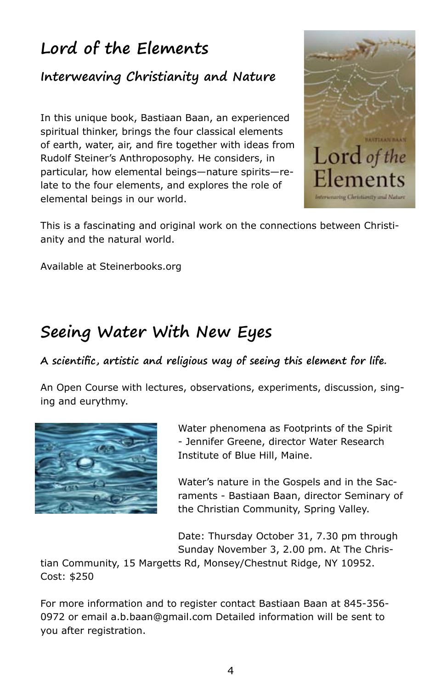### **Lord of the Elements**

### **Interweaving Christianity and Nature**

In this unique book, Bastiaan Baan, an experienced spiritual thinker, brings the four classical elements of earth, water, air, and fire together with ideas from Rudolf Steiner's Anthroposophy. He considers, in particular, how elemental beings—nature spirits—relate to the four elements, and explores the role of elemental beings in our world.



This is a fascinating and original work on the connections between Christianity and the natural world.

Available at Steinerbooks.org

### **Seeing Water With New Eyes**

#### **A scientific, artistic and religious way of seeing this element for life.**

An Open Course with lectures, observations, experiments, discussion, singing and eurythmy.



Water phenomena as Footprints of the Spirit - Jennifer Greene, director Water Research Institute of Blue Hill, Maine.

Water's nature in the Gospels and in the Sacraments - Bastiaan Baan, director Seminary of the Christian Community, Spring Valley.

Date: Thursday October 31, 7.30 pm through Sunday November 3, 2.00 pm. At The Chris-

tian Community, 15 Margetts Rd, Monsey/Chestnut Ridge, NY 10952. Cost: \$250

For more information and to register contact Bastiaan Baan at 845-356- 0972 or email a.b.baan@gmail.com Detailed information will be sent to you after registration.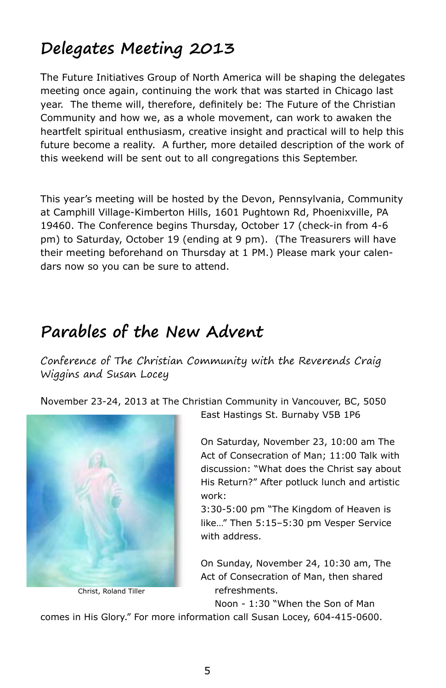### **Delegates Meeting 2013**

The Future Initiatives Group of North America will be shaping the delegates meeting once again, continuing the work that was started in Chicago last year. The theme will, therefore, definitely be: The Future of the Christian Community and how we, as a whole movement, can work to awaken the heartfelt spiritual enthusiasm, creative insight and practical will to help this future become a reality. A further, more detailed description of the work of this weekend will be sent out to all congregations this September.

This year's meeting will be hosted by the Devon, Pennsylvania, Community at Camphill Village-Kimberton Hills, 1601 Pughtown Rd, Phoenixville, PA 19460. The Conference begins Thursday, October 17 (check-in from 4-6 pm) to Saturday, October 19 (ending at 9 pm). (The Treasurers will have their meeting beforehand on Thursday at 1 PM.) Please mark your calendars now so you can be sure to attend.

### **Parables of the New Advent**

Conference of The Christian Community with the Reverends Craig Wiggins and Susan Locey

November 23-24, 2013 at The Christian Community in Vancouver, BC, 5050



Christ, Roland Tiller

East Hastings St. Burnaby V5B 1P6

On Saturday, November 23, 10:00 am The Act of Consecration of Man; 11:00 Talk with discussion: "What does the Christ say about His Return?" After potluck lunch and artistic work:

3:30-5:00 pm "The Kingdom of Heaven is like…" Then 5:15–5:30 pm Vesper Service with address.

On Sunday, November 24, 10:30 am, The Act of Consecration of Man, then shared refreshments.

Noon - 1:30 "When the Son of Man

comes in His Glory." For more information call Susan Locey, 604-415-0600.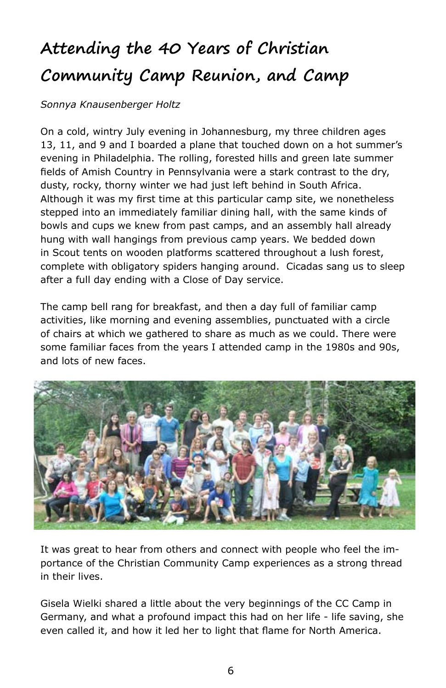### **Attending the 40 Years of Christian Community Camp Reunion, and Camp**

#### *Sonnya Knausenberger Holtz*

On a cold, wintry July evening in Johannesburg, my three children ages 13, 11, and 9 and I boarded a plane that touched down on a hot summer's evening in Philadelphia. The rolling, forested hills and green late summer fields of Amish Country in Pennsylvania were a stark contrast to the dry, dusty, rocky, thorny winter we had just left behind in South Africa. Although it was my first time at this particular camp site, we nonetheless stepped into an immediately familiar dining hall, with the same kinds of bowls and cups we knew from past camps, and an assembly hall already hung with wall hangings from previous camp years. We bedded down in Scout tents on wooden platforms scattered throughout a lush forest, complete with obligatory spiders hanging around. Cicadas sang us to sleep after a full day ending with a Close of Day service.

The camp bell rang for breakfast, and then a day full of familiar camp activities, like morning and evening assemblies, punctuated with a circle of chairs at which we gathered to share as much as we could. There were some familiar faces from the years I attended camp in the 1980s and 90s, and lots of new faces.



It was great to hear from others and connect with people who feel the importance of the Christian Community Camp experiences as a strong thread in their lives.

Gisela Wielki shared a little about the very beginnings of the CC Camp in Germany, and what a profound impact this had on her life - life saving, she even called it, and how it led her to light that flame for North America.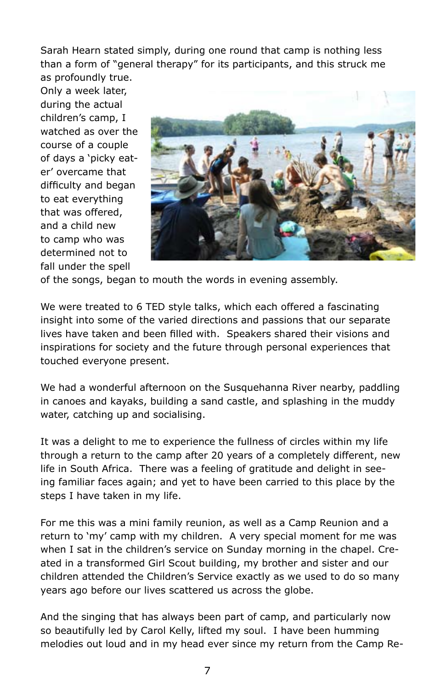Sarah Hearn stated simply, during one round that camp is nothing less than a form of "general therapy" for its participants, and this struck me as profoundly true.

Only a week later, during the actual children's camp, I watched as over the course of a couple of days a 'picky eater' overcame that difficulty and began to eat everything that was offered, and a child new to camp who was determined not to fall under the spell



of the songs, began to mouth the words in evening assembly.

We were treated to 6 TED style talks, which each offered a fascinating insight into some of the varied directions and passions that our separate lives have taken and been filled with. Speakers shared their visions and inspirations for society and the future through personal experiences that touched everyone present.

We had a wonderful afternoon on the Susquehanna River nearby, paddling in canoes and kayaks, building a sand castle, and splashing in the muddy water, catching up and socialising.

It was a delight to me to experience the fullness of circles within my life through a return to the camp after 20 years of a completely different, new life in South Africa. There was a feeling of gratitude and delight in seeing familiar faces again; and yet to have been carried to this place by the steps I have taken in my life.

For me this was a mini family reunion, as well as a Camp Reunion and a return to 'my' camp with my children. A very special moment for me was when I sat in the children's service on Sunday morning in the chapel. Created in a transformed Girl Scout building, my brother and sister and our children attended the Children's Service exactly as we used to do so many years ago before our lives scattered us across the globe.

And the singing that has always been part of camp, and particularly now so beautifully led by Carol Kelly, lifted my soul. I have been humming melodies out loud and in my head ever since my return from the Camp Re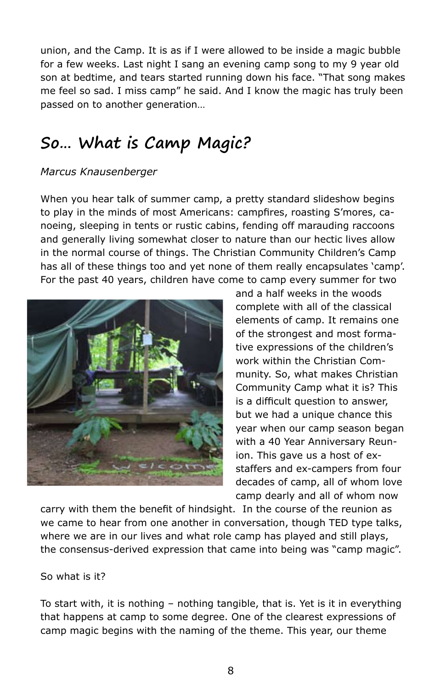union, and the Camp. It is as if I were allowed to be inside a magic bubble for a few weeks. Last night I sang an evening camp song to my 9 year old son at bedtime, and tears started running down his face. "That song makes me feel so sad. I miss camp" he said. And I know the magic has truly been passed on to another generation…

### **So… What is Camp Magic?**

#### *Marcus Knausenberger*

When you hear talk of summer camp, a pretty standard slideshow begins to play in the minds of most Americans: campfires, roasting S'mores, canoeing, sleeping in tents or rustic cabins, fending off marauding raccoons and generally living somewhat closer to nature than our hectic lives allow in the normal course of things. The Christian Community Children's Camp has all of these things too and yet none of them really encapsulates 'camp'. For the past 40 years, children have come to camp every summer for two



and a half weeks in the woods complete with all of the classical elements of camp. It remains one of the strongest and most formative expressions of the children's work within the Christian Community. So, what makes Christian Community Camp what it is? This is a difficult question to answer, but we had a unique chance this year when our camp season began with a 40 Year Anniversary Reunion. This gave us a host of exstaffers and ex-campers from four decades of camp, all of whom love camp dearly and all of whom now

carry with them the benefit of hindsight. In the course of the reunion as we came to hear from one another in conversation, though TED type talks, where we are in our lives and what role camp has played and still plays, the consensus-derived expression that came into being was "camp magic".

#### So what is it?

To start with, it is nothing – nothing tangible, that is. Yet is it in everything that happens at camp to some degree. One of the clearest expressions of camp magic begins with the naming of the theme. This year, our theme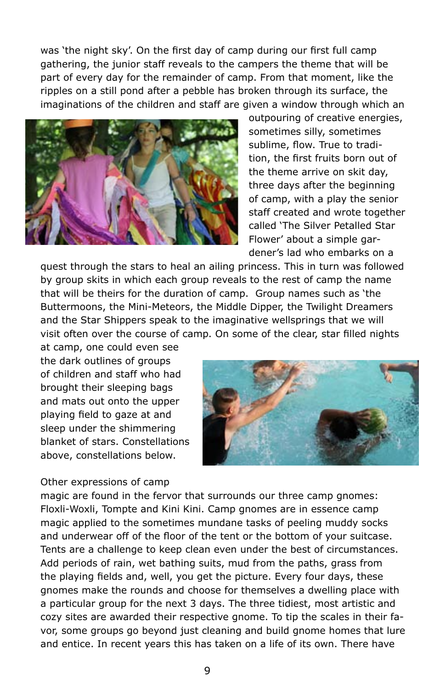was 'the night sky'. On the first day of camp during our first full camp gathering, the junior staff reveals to the campers the theme that will be part of every day for the remainder of camp. From that moment, like the ripples on a still pond after a pebble has broken through its surface, the imaginations of the children and staff are given a window through which an



outpouring of creative energies, sometimes silly, sometimes sublime, flow. True to tradition, the first fruits born out of the theme arrive on skit day, three days after the beginning of camp, with a play the senior staff created and wrote together called 'The Silver Petalled Star Flower' about a simple gardener's lad who embarks on a

quest through the stars to heal an ailing princess. This in turn was followed by group skits in which each group reveals to the rest of camp the name that will be theirs for the duration of camp. Group names such as 'the Buttermoons, the Mini-Meteors, the Middle Dipper, the Twilight Dreamers and the Star Shippers speak to the imaginative wellsprings that we will visit often over the course of camp. On some of the clear, star filled nights

at camp, one could even see the dark outlines of groups of children and staff who had brought their sleeping bags and mats out onto the upper playing field to gaze at and sleep under the shimmering blanket of stars. Constellations above, constellations below.

#### Other expressions of camp

magic are found in the fervor that surrounds our three camp gnomes: Floxli-Woxli, Tompte and Kini Kini. Camp gnomes are in essence camp magic applied to the sometimes mundane tasks of peeling muddy socks and underwear off of the floor of the tent or the bottom of your suitcase. Tents are a challenge to keep clean even under the best of circumstances. Add periods of rain, wet bathing suits, mud from the paths, grass from the playing fields and, well, you get the picture. Every four days, these gnomes make the rounds and choose for themselves a dwelling place with a particular group for the next 3 days. The three tidiest, most artistic and cozy sites are awarded their respective gnome. To tip the scales in their favor, some groups go beyond just cleaning and build gnome homes that lure and entice. In recent years this has taken on a life of its own. There have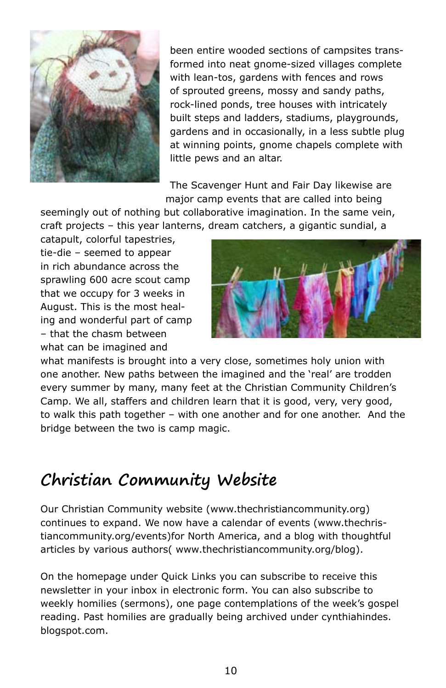

been entire wooded sections of campsites transformed into neat gnome-sized villages complete with lean-tos, gardens with fences and rows of sprouted greens, mossy and sandy paths, rock-lined ponds, tree houses with intricately built steps and ladders, stadiums, playgrounds, gardens and in occasionally, in a less subtle plug at winning points, gnome chapels complete with little pews and an altar.

The Scavenger Hunt and Fair Day likewise are major camp events that are called into being

seemingly out of nothing but collaborative imagination. In the same vein, craft projects – this year lanterns, dream catchers, a gigantic sundial, a

catapult, colorful tapestries, tie-die – seemed to appear in rich abundance across the sprawling 600 acre scout camp that we occupy for 3 weeks in August. This is the most healing and wonderful part of camp – that the chasm between what can be imagined and



what manifests is brought into a very close, sometimes holy union with one another. New paths between the imagined and the 'real' are trodden every summer by many, many feet at the Christian Community Children's Camp. We all, staffers and children learn that it is good, very, very good, to walk this path together – with one another and for one another. And the bridge between the two is camp magic.

### **Christian Community Website**

Our Christian Community website (www.thechristiancommunity.org) continues to expand. We now have a calendar of events (www.thechristiancommunity.org/events)for North America, and a blog with thoughtful articles by various authors( www.thechristiancommunity.org/blog).

On the homepage under Quick Links you can subscribe to receive this newsletter in your inbox in electronic form. You can also subscribe to weekly homilies (sermons), one page contemplations of the week's gospel reading. Past homilies are gradually being archived under cynthiahindes. blogspot.com.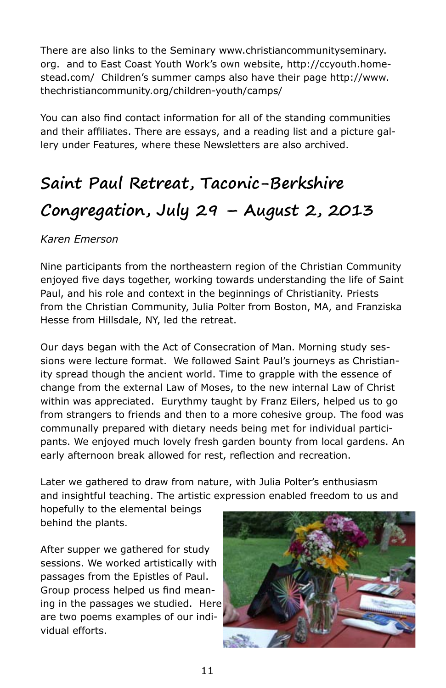There are also links to the Seminary www.christiancommunityseminary. org. and to East Coast Youth Work's own website, http://ccyouth.homestead.com/ Children's summer camps also have their page http://www. thechristiancommunity.org/children-youth/camps/

You can also find contact information for all of the standing communities and their affiliates. There are essays, and a reading list and a picture gallery under Features, where these Newsletters are also archived.

### **Saint Paul Retreat, Taconic-Berkshire Congregation, July 29 – August 2, 2013**

#### *Karen Emerson*

Nine participants from the northeastern region of the Christian Community enjoyed five days together, working towards understanding the life of Saint Paul, and his role and context in the beginnings of Christianity. Priests from the Christian Community, Julia Polter from Boston, MA, and Franziska Hesse from Hillsdale, NY, led the retreat.

Our days began with the Act of Consecration of Man. Morning study sessions were lecture format. We followed Saint Paul's journeys as Christianity spread though the ancient world. Time to grapple with the essence of change from the external Law of Moses, to the new internal Law of Christ within was appreciated. Eurythmy taught by Franz Eilers, helped us to go from strangers to friends and then to a more cohesive group. The food was communally prepared with dietary needs being met for individual participants. We enjoyed much lovely fresh garden bounty from local gardens. An early afternoon break allowed for rest, reflection and recreation.

Later we gathered to draw from nature, with Julia Polter's enthusiasm and insightful teaching. The artistic expression enabled freedom to us and

hopefully to the elemental beings behind the plants.

After supper we gathered for study sessions. We worked artistically with passages from the Epistles of Paul. Group process helped us find meaning in the passages we studied. Here are two poems examples of our individual efforts.

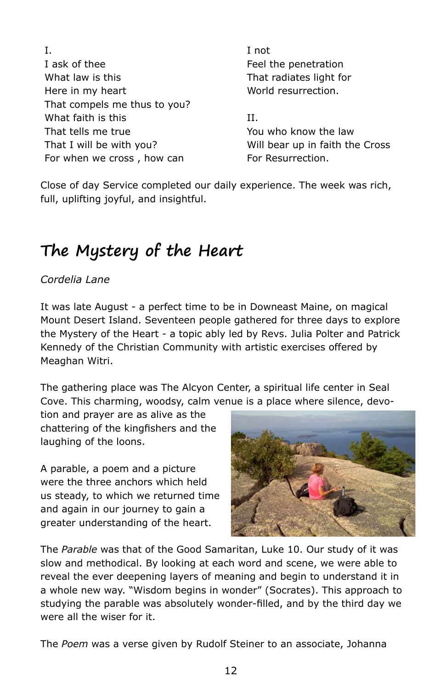| Ι.                           | I not                           |
|------------------------------|---------------------------------|
| I ask of thee                | Feel the penetration            |
| What law is this             | That radiates light for         |
| Here in my heart             | World resurrection.             |
| That compels me thus to you? |                                 |
| What faith is this           | Н.                              |
| That tells me true           | You who know the law            |
| That I will be with you?     | Will bear up in faith the Cross |
| For when we cross, how can   | For Resurrection.               |

Close of day Service completed our daily experience. The week was rich, full, uplifting joyful, and insightful.

### **The Mystery of the Heart**

#### *Cordelia Lane*

It was late August - a perfect time to be in Downeast Maine, on magical Mount Desert Island. Seventeen people gathered for three days to explore the Mystery of the Heart - a topic ably led by Revs. Julia Polter and Patrick Kennedy of the Christian Community with artistic exercises offered by Meaghan Witri.

The gathering place was The Alcyon Center, a spiritual life center in Seal Cove. This charming, woodsy, calm venue is a place where silence, devo-

tion and prayer are as alive as the chattering of the kingfishers and the laughing of the loons.

A parable, a poem and a picture were the three anchors which held us steady, to which we returned time and again in our journey to gain a greater understanding of the heart.



The *Parable* was that of the Good Samaritan, Luke 10. Our study of it was slow and methodical. By looking at each word and scene, we were able to reveal the ever deepening layers of meaning and begin to understand it in a whole new way. "Wisdom begins in wonder" (Socrates). This approach to studying the parable was absolutely wonder-filled, and by the third day we were all the wiser for it.

The *Poem* was a verse given by Rudolf Steiner to an associate, Johanna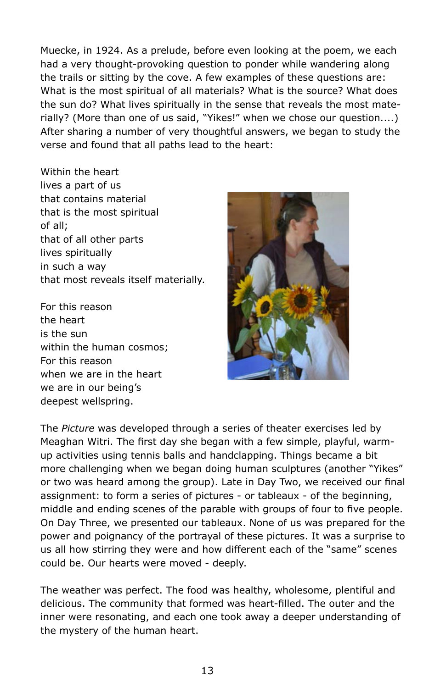Muecke, in 1924. As a prelude, before even looking at the poem, we each had a very thought-provoking question to ponder while wandering along the trails or sitting by the cove. A few examples of these questions are: What is the most spiritual of all materials? What is the source? What does the sun do? What lives spiritually in the sense that reveals the most materially? (More than one of us said, "Yikes!" when we chose our question....) After sharing a number of very thoughtful answers, we began to study the verse and found that all paths lead to the heart:

Within the heart lives a part of us that contains material that is the most spiritual of all; that of all other parts lives spiritually in such a way that most reveals itself materially.

For this reason the heart is the sun within the human cosmos; For this reason when we are in the heart we are in our being's deepest wellspring.



The *Picture* was developed through a series of theater exercises led by Meaghan Witri. The first day she began with a few simple, playful, warmup activities using tennis balls and handclapping. Things became a bit more challenging when we began doing human sculptures (another "Yikes" or two was heard among the group). Late in Day Two, we received our final assignment: to form a series of pictures - or tableaux - of the beginning, middle and ending scenes of the parable with groups of four to five people. On Day Three, we presented our tableaux. None of us was prepared for the power and poignancy of the portrayal of these pictures. It was a surprise to us all how stirring they were and how different each of the "same" scenes could be. Our hearts were moved - deeply.

The weather was perfect. The food was healthy, wholesome, plentiful and delicious. The community that formed was heart-filled. The outer and the inner were resonating, and each one took away a deeper understanding of the mystery of the human heart.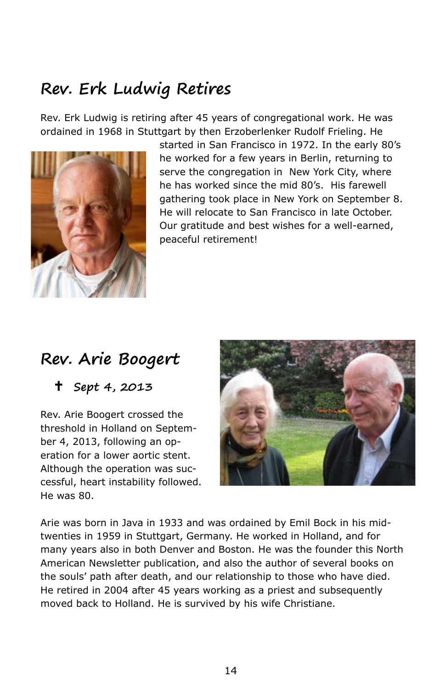### **Rev. Erk Ludwig Retires**

Rev. Erk Ludwig is retiring after 45 years of congregational work. He was ordained in 1968 in Stuttgart by then Erzoberlenker Rudolf Frieling. He



started in San Francisco in 1972. In the early 80's he worked for a few years in Berlin, returning to serve the congregation in New York City, where he has worked since the mid 80's. His farewell gathering took place in New York on September 8. He will relocate to San Francisco in late October. Our gratitude and best wishes for a well-earned, peaceful retirement!

### **Rev. Arie Boogert**

**Sept 4, 2013**

Rev. Arie Boogert crossed the threshold in Holland on September 4, 2013, following an operation for a lower aortic stent. Although the operation was successful, heart instability followed. He was 80.



Arie was born in Java in 1933 and was ordained by Emil Bock in his midtwenties in 1959 in Stuttgart, Germany. He worked in Holland, and for many years also in both Denver and Boston. He was the founder this North American Newsletter publication, and also the author of several books on the souls' path after death, and our relationship to those who have died. He retired in 2004 after 45 years working as a priest and subsequently moved back to Holland. He is survived by his wife Christiane.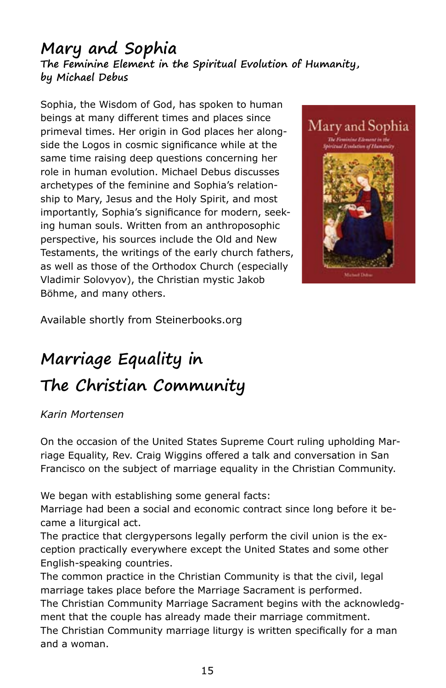#### **Mary and Sophia The Feminine Element in the Spiritual Evolution of Humanity, by Michael Debus**

Sophia, the Wisdom of God, has spoken to human beings at many different times and places since primeval times. Her origin in God places her alongside the Logos in cosmic significance while at the same time raising deep questions concerning her role in human evolution. Michael Debus discusses archetypes of the feminine and Sophia's relationship to Mary, Jesus and the Holy Spirit, and most importantly, Sophia's significance for modern, seeking human souls. Written from an anthroposophic perspective, his sources include the Old and New Testaments, the writings of the early church fathers, as well as those of the Orthodox Church (especially Vladimir Solovyov), the Christian mystic Jakob Böhme, and many others.



Available shortly from Steinerbooks.org

### **Marriage Equality in The Christian Community**

#### *Karin Mortensen*

On the occasion of the United States Supreme Court ruling upholding Marriage Equality, Rev. Craig Wiggins offered a talk and conversation in San Francisco on the subject of marriage equality in the Christian Community.

We began with establishing some general facts:

Marriage had been a social and economic contract since long before it became a liturgical act.

The practice that clergypersons legally perform the civil union is the exception practically everywhere except the United States and some other English-speaking countries.

The common practice in the Christian Community is that the civil, legal marriage takes place before the Marriage Sacrament is performed. The Christian Community Marriage Sacrament begins with the acknowledgment that the couple has already made their marriage commitment. The Christian Community marriage liturgy is written specifically for a man and a woman.